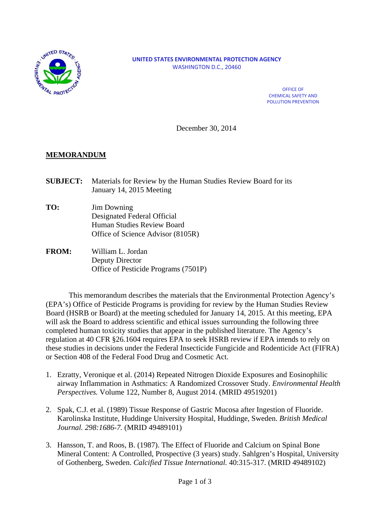

#### **UNITED STATES ENVIRONMENTAL PROTECTION AGENCY** WASHINGTON D.C., 20460

OFFICE OF CHEMICAL SAFETY AND POLLUTION PREVENTION

December 30, 2014

#### **MEMORANDUM**

- **SUBJECT:** Materials for Review by the Human Studies Review Board for its January 14, 2015 Meeting
- **TO:** Jim Downing Designated Federal Official Human Studies Review Board Office of Science Advisor (8105R)
- **FROM:** William L. Jordan Deputy Director Office of Pesticide Programs (7501P)

This memorandum describes the materials that the Environmental Protection Agency's (EPA's) Office of Pesticide Programs is providing for review by the Human Studies Review Board (HSRB or Board) at the meeting scheduled for January 14, 2015. At this meeting, EPA will ask the Board to address scientific and ethical issues surrounding the following three completed human toxicity studies that appear in the published literature. The Agency's regulation at 40 CFR §26.1604 requires EPA to seek HSRB review if EPA intends to rely on these studies in decisions under the Federal Insecticide Fungicide and Rodenticide Act (FIFRA) or Section 408 of the Federal Food Drug and Cosmetic Act.

- 1. Ezratty, Veronique et al. (2014) Repeated Nitrogen Dioxide Exposures and Eosinophilic airway Inflammation in Asthmatics: A Randomized Crossover Study. *Environmental Health Perspectives.* Volume 122, Number 8, August 2014. (MRID 49519201)
- 2. Spak, C.J. et al. (1989) Tissue Response of Gastric Mucosa after Ingestion of Fluoride. Karolinska Institute, Huddinge University Hospital, Huddinge, Sweden. *British Medical Journal. 298:1686-7.* (MRID 49489101)
- 3. Hansson, T. and Roos, B. (1987). The Effect of Fluoride and Calcium on Spinal Bone Mineral Content: A Controlled, Prospective (3 years) study. Sahlgren's Hospital, University of Gothenberg, Sweden. *Calcified Tissue International.* 40:315-317. (MRID 49489102)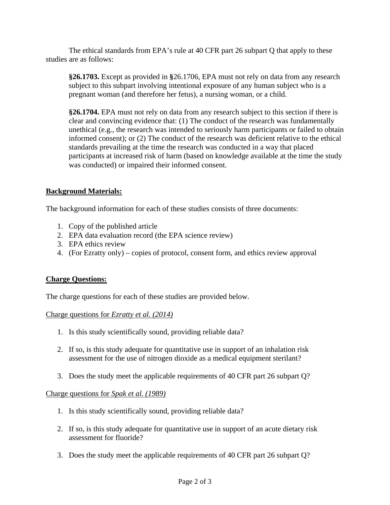The ethical standards from EPA's rule at 40 CFR part 26 subpart Q that apply to these studies are as follows:

**§26.1703.** Except as provided in **§**26.1706, EPA must not rely on data from any research subject to this subpart involving intentional exposure of any human subject who is a pregnant woman (and therefore her fetus), a nursing woman, or a child.

**§26.1704.** EPA must not rely on data from any research subject to this section if there is clear and convincing evidence that: (1) The conduct of the research was fundamentally unethical (e.g., the research was intended to seriously harm participants or failed to obtain informed consent); or (2) The conduct of the research was deficient relative to the ethical standards prevailing at the time the research was conducted in a way that placed participants at increased risk of harm (based on knowledge available at the time the study was conducted) or impaired their informed consent.

# **Background Materials:**

The background information for each of these studies consists of three documents:

- 1. Copy of the published article
- 2. EPA data evaluation record (the EPA science review)
- 3. EPA ethics review
- 4. (For Ezratty only) copies of protocol, consent form, and ethics review approval

# **Charge Questions:**

The charge questions for each of these studies are provided below.

# Charge questions for *Ezratty et al. (2014)*

- 1. Is this study scientifically sound, providing reliable data?
- 2. If so, is this study adequate for quantitative use in support of an inhalation risk assessment for the use of nitrogen dioxide as a medical equipment sterilant?
- 3. Does the study meet the applicable requirements of 40 CFR part 26 subpart Q?

#### Charge questions for *Spak et al. (1989)*

- 1. Is this study scientifically sound, providing reliable data?
- 2. If so, is this study adequate for quantitative use in support of an acute dietary risk assessment for fluoride?
- 3. Does the study meet the applicable requirements of 40 CFR part 26 subpart Q?